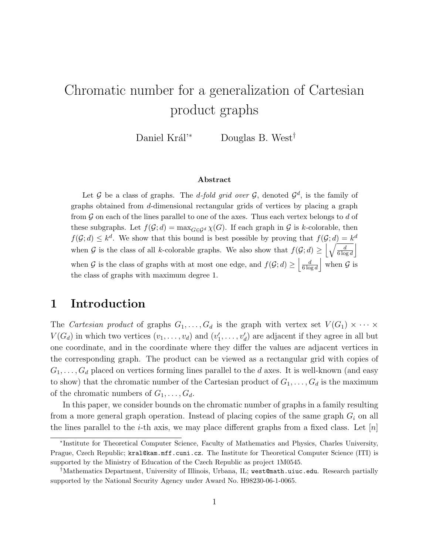# Chromatic number for a generalization of Cartesian product graphs

Daniel Král<sup>'∗</sup> Douglas B. West<sup>†</sup>

#### Abstract

Let  $G$  be a class of graphs. The *d-fold grid over*  $G$ , denoted  $G^d$ , is the family of graphs obtained from d-dimensional rectangular grids of vertices by placing a graph from  $G$  on each of the lines parallel to one of the axes. Thus each vertex belongs to  $d$  of these subgraphs. Let  $f(\mathcal{G}; d) = \max_{G \in \mathcal{G}^d} \chi(G)$ . If each graph in G is k-colorable, then  $f(\mathcal{G}; d) \leq k^d$ . We show that this bound is best possible by proving that  $f(\mathcal{G}; d) = k^d$ . when G is the class of all k-colorable graphs. We also show that  $f(G; d) \geq \left[\sqrt{\frac{d}{6 \log d}}\right]$ when G is the class of graphs with at most one edge, and  $f(G; d) \ge \left| \frac{d}{6 \log d} \right|$  $\frac{d}{6\log d}$  when G is the class of graphs with maximum degree 1.

# 1 Introduction

The Cartesian product of graphs  $G_1, \ldots, G_d$  is the graph with vertex set  $V(G_1) \times \cdots \times$  $V(G_d)$  in which two vertices  $(v_1, \ldots, v_d)$  and  $(v'_1, \ldots, v'_d)$  are adjacent if they agree in all but one coordinate, and in the coordinate where they differ the values are adjacent vertices in the corresponding graph. The product can be viewed as a rectangular grid with copies of  $G_1, \ldots, G_d$  placed on vertices forming lines parallel to the d axes. It is well-known (and easy to show) that the chromatic number of the Cartesian product of  $G_1, \ldots, G_d$  is the maximum of the chromatic numbers of  $G_1, \ldots, G_d$ .

In this paper, we consider bounds on the chromatic number of graphs in a family resulting from a more general graph operation. Instead of placing copies of the same graph  $G_i$  on all the lines parallel to the *i*-th axis, we may place different graphs from a fixed class. Let  $[n]$ 

<sup>∗</sup> Institute for Theoretical Computer Science, Faculty of Mathematics and Physics, Charles University, Prague, Czech Republic; kral@kam.mff.cuni.cz. The Institute for Theoretical Computer Science (ITI) is supported by the Ministry of Education of the Czech Republic as project 1M0545.

<sup>†</sup>Mathematics Department, University of Illinois, Urbana, IL; west@math.uiuc.edu. Research partially supported by the National Security Agency under Award No. H98230-06-1-0065.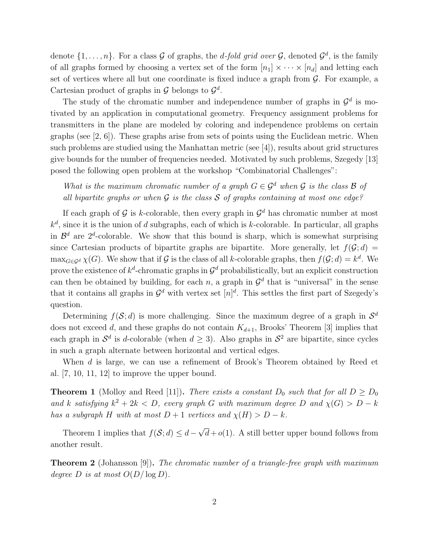denote  $\{1, \ldots, n\}$ . For a class  $G$  of graphs, the *d-fold grid over*  $G$ , denoted  $G^d$ , is the family of all graphs formed by choosing a vertex set of the form  $[n_1] \times \cdots \times [n_d]$  and letting each set of vertices where all but one coordinate is fixed induce a graph from  $\mathcal G$ . For example, a Cartesian product of graphs in  $\mathcal G$  belongs to  $\mathcal G^d$ .

The study of the chromatic number and independence number of graphs in  $\mathcal{G}^d$  is motivated by an application in computational geometry. Frequency assignment problems for transmitters in the plane are modeled by coloring and independence problems on certain graphs (see  $[2, 6]$ ). These graphs arise from sets of points using the Euclidean metric. When such problems are studied using the Manhattan metric (see [4]), results about grid structures give bounds for the number of frequencies needed. Motivated by such problems, Szegedy [13] posed the following open problem at the workshop "Combinatorial Challenges":

What is the maximum chromatic number of a graph  $G \in \mathcal{G}^d$  when G is the class B of all bipartite graphs or when  $\mathcal G$  is the class  $\mathcal S$  of graphs containing at most one edge?

If each graph of  $G$  is k-colorable, then every graph in  $G^d$  has chromatic number at most  $k^d$ , since it is the union of d subgraphs, each of which is k-colorable. In particular, all graphs in  $\mathcal{B}^d$  are  $2^d$ -colorable. We show that this bound is sharp, which is somewhat surprising since Cartesian products of bipartite graphs are bipartite. More generally, let  $f(\mathcal{G}; d)$  $\max_{G \in \mathcal{G}^d} \chi(G)$ . We show that if  $\mathcal G$  is the class of all k-colorable graphs, then  $f(\mathcal G; d) = k^d$ . We prove the existence of  $k^d$ -chromatic graphs in  $\mathcal{G}^d$  probabilistically, but an explicit construction can then be obtained by building, for each n, a graph in  $\mathcal{G}^d$  that is "universal" in the sense that it contains all graphs in  $\mathcal{G}^d$  with vertex set  $[n]^d$ . This settles the first part of Szegedy's question.

Determining  $f(\mathcal{S}; d)$  is more challenging. Since the maximum degree of a graph in  $\mathcal{S}^d$ does not exceed d, and these graphs do not contain  $K_{d+1}$ , Brooks' Theorem [3] implies that each graph in  $\mathcal{S}^d$  is d-colorable (when  $d \geq 3$ ). Also graphs in  $\mathcal{S}^2$  are bipartite, since cycles in such a graph alternate between horizontal and vertical edges.

When d is large, we can use a refinement of Brook's Theorem obtained by Reed et al. [7, 10, 11, 12] to improve the upper bound.

**Theorem 1** (Molloy and Reed [11]). There exists a constant  $D_0$  such that for all  $D \ge D_0$ and k satisfying  $k^2 + 2k < D$ , every graph G with maximum degree D and  $\chi(G) > D - k$ has a subgraph H with at most  $D + 1$  vertices and  $\chi(H) > D - k$ .

Theorem 1 implies that  $f(\mathcal{S}; d) \leq d - \sqrt{d} + o(1)$ . A still better upper bound follows from another result.

Theorem 2 (Johansson [9]). The chromatic number of a triangle-free graph with maximum degree D is at most  $O(D/\log D)$ .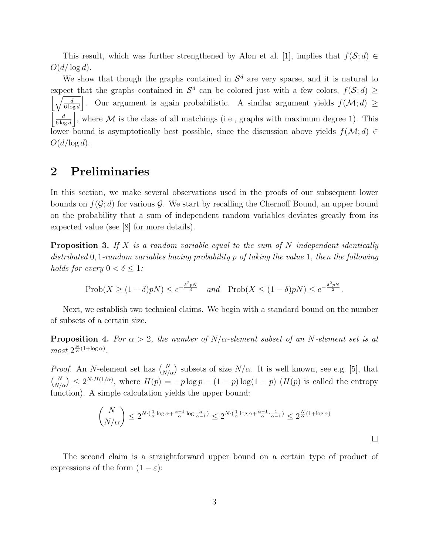This result, which was further strengthened by Alon et al. [1], implies that  $f(\mathcal{S}; d) \in$  $O(d/\log d)$ .

We show that though the graphs contained in  $\mathcal{S}^d$  are very sparse, and it is natural to expect that the graphs contained in  $\mathcal{S}^d$  can be colored just with a few colors,  $f(\mathcal{S}; d) \ge$  $\left|\sqrt{\frac{d}{6\log d}}\right|$ . Our argument is again probabilistic. A similar argument yields  $f(\mathcal{M}; d) \ge$  $\vert$   $\vert$   $\vert$   $\vert$  $\frac{d}{6 \log d}$ , where M is the class of all matchings (i.e., graphs with maximum degree 1). This lower bound is asymptotically best possible, since the discussion above yields  $f(\mathcal{M}; d) \in$  $O(d/\log d)$ .

# 2 Preliminaries

In this section, we make several observations used in the proofs of our subsequent lower bounds on  $f(\mathcal{G}; d)$  for various  $\mathcal{G}$ . We start by recalling the Chernoff Bound, an upper bound on the probability that a sum of independent random variables deviates greatly from its expected value (see [8] for more details).

**Proposition 3.** If X is a random variable equal to the sum of N independent identically distributed 0, 1-random variables having probability p of taking the value 1, then the following holds for every  $0 < \delta \leq 1$ :

$$
\text{Prob}(X \ge (1+\delta)pN) \le e^{-\frac{\delta^2 pN}{3}} \quad \text{and} \quad \text{Prob}(X \le (1-\delta)pN) \le e^{-\frac{\delta^2 pN}{2}}.
$$

Next, we establish two technical claims. We begin with a standard bound on the number of subsets of a certain size.

**Proposition 4.** For  $\alpha > 2$ , the number of N/ $\alpha$ -element subset of an N-element set is at  $most\ 2^{\frac{N}{\alpha}(1+\log \alpha)}.$ 

*Proof.* An N-element set has  $\binom{N}{N/\alpha}$  subsets of size  $N/\alpha$ . It is well known, see e.g. [5], that  $\binom{N}{N/\alpha} \leq 2^{N \cdot H(1/\alpha)}$ , where  $H(p) = -p \log p - (1-p) \log(1-p)$  ( $H(p)$  is called the entropy function). A simple calculation yields the upper bound:

$$
\binom{N}{N/\alpha} \le 2^{N \cdot (\frac{1}{\alpha} \log \alpha + \frac{\alpha - 1}{\alpha} \log \frac{\alpha}{\alpha - 1})} \le 2^{N \cdot (\frac{1}{\alpha} \log \alpha + \frac{\alpha - 1}{\alpha} \cdot \frac{1}{\alpha - 1})} \le 2^{\frac{N}{\alpha}(1 + \log \alpha)}
$$

The second claim is a straightforward upper bound on a certain type of product of expressions of the form  $(1 - \varepsilon)$ :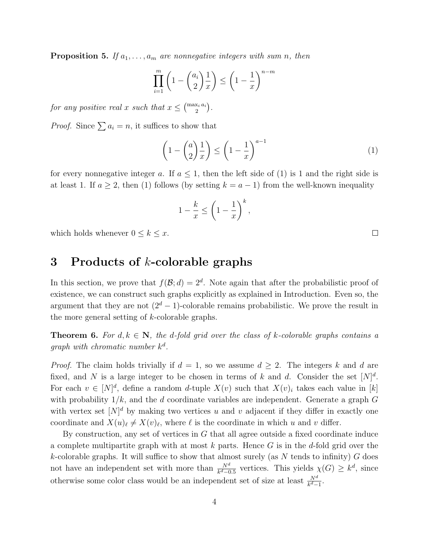**Proposition 5.** If  $a_1, \ldots, a_m$  are nonnegative integers with sum n, then

$$
\prod_{i=1}^{m} \left( 1 - \binom{a_i}{2} \frac{1}{x} \right) \le \left( 1 - \frac{1}{x} \right)^{n-m}
$$

for any positive real x such that  $x \leq {max_i a_i \choose 2}$ .

*Proof.* Since  $\sum a_i = n$ , it suffices to show that

$$
\left(1 - \binom{a}{2} \frac{1}{x}\right) \le \left(1 - \frac{1}{x}\right)^{a-1} \tag{1}
$$

for every nonnegative integer a. If  $a \leq 1$ , then the left side of (1) is 1 and the right side is at least 1. If  $a \geq 2$ , then (1) follows (by setting  $k = a - 1$ ) from the well-known inequality

$$
1 - \frac{k}{x} \le \left(1 - \frac{1}{x}\right)^k,
$$

which holds whenever  $0 \leq k \leq x$ .

### 3 Products of  $k$ -colorable graphs

In this section, we prove that  $f(\mathcal{B}; d) = 2^d$ . Note again that after the probabilistic proof of existence, we can construct such graphs explicitly as explained in Introduction. Even so, the argument that they are not  $(2<sup>d</sup> - 1)$ -colorable remains probabilistic. We prove the result in the more general setting of k-colorable graphs.

**Theorem 6.** For  $d, k \in \mathbb{N}$ , the d-fold grid over the class of k-colorable graphs contains a graph with chromatic number  $k^d$ .

*Proof.* The claim holds trivially if  $d = 1$ , so we assume  $d \geq 2$ . The integers k and d are fixed, and N is a large integer to be chosen in terms of k and d. Consider the set  $[N]^d$ . For each  $v \in [N]^d$ , define a random d-tuple  $X(v)$  such that  $X(v)_i$  takes each value in [k] with probability  $1/k$ , and the d coordinate variables are independent. Generate a graph G with vertex set  $[N]^d$  by making two vertices u and v adjacent if they differ in exactly one coordinate and  $X(u)_\ell \neq X(v)_\ell$ , where  $\ell$  is the coordinate in which u and v differ.

By construction, any set of vertices in  $G$  that all agree outside a fixed coordinate induce a complete multipartite graph with at most  $k$  parts. Hence  $G$  is in the d-fold grid over the k-colorable graphs. It will suffice to show that almost surely (as N tends to infinity)  $G$  does not have an independent set with more than  $\frac{N^d}{k^d-0.5}$  vertices. This yields  $\chi(G) \geq k^d$ , since otherwise some color class would be an independent set of size at least  $\frac{N^d}{k^d-1}$ .

 $\Box$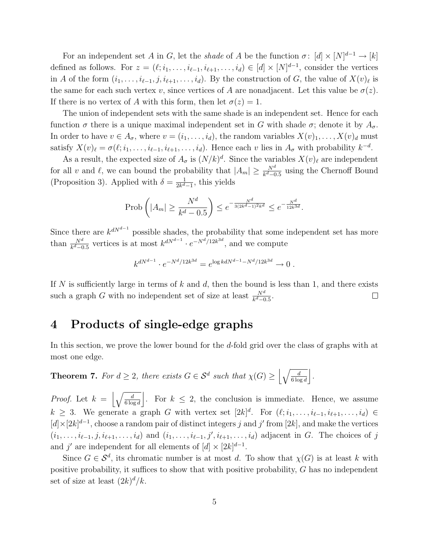For an independent set A in G, let the shade of A be the function  $\sigma: [d] \times [N]^{d-1} \to [k]$ defined as follows. For  $z = (\ell; i_1, \ldots, i_{\ell-1}, i_{\ell+1}, \ldots, i_d) \in [d] \times [N]^{d-1}$ , consider the vertices in A of the form  $(i_1, \ldots, i_{\ell-1}, j, i_{\ell+1}, \ldots, i_d)$ . By the construction of G, the value of  $X(v)_\ell$  is the same for each such vertex v, since vertices of A are nonadjacent. Let this value be  $\sigma(z)$ . If there is no vertex of A with this form, then let  $\sigma(z) = 1$ .

The union of independent sets with the same shade is an independent set. Hence for each function  $\sigma$  there is a unique maximal independent set in G with shade  $\sigma$ ; denote it by  $A_{\sigma}$ . In order to have  $v \in A_{\sigma}$ , where  $v = (i_1, \ldots, i_d)$ , the random variables  $X(v)_1, \ldots, X(v)_d$  must satisfy  $X(v)_{\ell} = \sigma(\ell; i_1, \ldots, i_{\ell-1}, i_{\ell+1}, \ldots, i_d)$ . Hence each v lies in  $A_{\sigma}$  with probability  $k^{-d}$ .

As a result, the expected size of  $A_{\sigma}$  is  $(N/k)^d$ . Since the variables  $X(v)_{\ell}$  are independent for all v and  $\ell$ , we can bound the probability that  $|A_m| \geq \frac{N^d}{k^d - 0.5}$  using the Chernoff Bound (Proposition 3). Applied with  $\delta = \frac{1}{2k^d}$  $\frac{1}{2k^d-1}$ , this yields

$$
\text{Prob}\left(|A_m| \ge \frac{N^d}{k^d - 0.5}\right) \le e^{-\frac{N^d}{3(2k^d - 1)^2 k^d}} \le e^{-\frac{N^d}{12k^{3d}}}.
$$

Since there are  $k^{dN^{d-1}}$  possible shades, the probability that some independent set has more than  $\frac{N^d}{k^d-0.5}$  vertices is at most  $k^{dN^{d-1}} \cdot e^{-N^d/12k^{3d}}$ , and we compute

$$
k^{dN^{d-1}} \cdot e^{-N^d/12k^{3d}} = e^{\log k dN^{d-1} - N^d/12k^{3d}} \to 0.
$$

If N is sufficiently large in terms of k and d, then the bound is less than 1, and there exists such a graph G with no independent set of size at least  $\frac{N^d}{k^d-0.5}$ .  $\Box$ 

# 4 Products of single-edge graphs

In this section, we prove the lower bound for the d-fold grid over the class of graphs with at most one edge.

**Theorem 7.** For 
$$
d \ge 2
$$
, there exists  $G \in S^d$  such that  $\chi(G) \ge \left\lfloor \sqrt{\frac{d}{6 \log d}} \right\rfloor$ .

*Proof.* Let  $k = \left\lfloor \sqrt{\frac{d}{6 \log d}} \right\rfloor$ . For  $k \leq 2$ , the conclusion is immediate. Hence, we assume  $k \geq 3$ . We generate a graph G with vertex set  $[2k]^d$ . For  $(\ell; i_1, \ldots, i_{\ell-1}, i_{\ell+1}, \ldots, i_d) \in$  $[d] \times [2k]^{d-1}$ , choose a random pair of distinct integers j and j' from [2k], and make the vertices  $(i_1,\ldots,i_{\ell-1},j,i_{\ell+1},\ldots,i_d)$  and  $(i_1,\ldots,i_{\ell-1},j',i_{\ell+1},\ldots,i_d)$  adjacent in G. The choices of j and j' are independent for all elements of  $[d] \times [2k]^{d-1}$ .

Since  $G \in \mathcal{S}^d$ , its chromatic number is at most d. To show that  $\chi(G)$  is at least k with positive probability, it suffices to show that with positive probability, G has no independent set of size at least  $(2k)^d/k$ .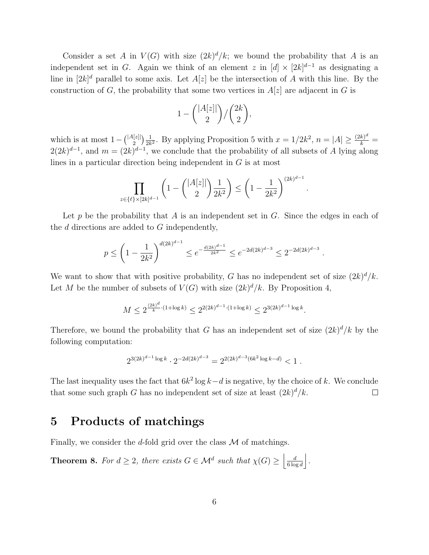Consider a set A in  $V(G)$  with size  $(2k)^d/k$ ; we bound the probability that A is an independent set in G. Again we think of an element z in  $[d] \times [2k]^{d-1}$  as designating a line in  $[2k]^d$  parallel to some axis. Let  $A[z]$  be the intersection of A with this line. By the construction of G, the probability that some two vertices in  $A[z]$  are adjacent in G is

$$
1 - \binom{|A[z]|}{2} / \binom{2k}{2},
$$

which is at most  $1 - \binom{|A[z]|}{2}$  $\binom{\lfloor z \rfloor}{2} \frac{1}{2k}$  $\frac{1}{2k^2}$ . By applying Proposition 5 with  $x = 1/2k^2$ ,  $n = |A| \ge \frac{(2k)^d}{k} =$  $2(2k)^{d-1}$ , and  $m = (2k)^{d-1}$ , we conclude that the probability of all subsets of A lying along lines in a particular direction being independent in G is at most

$$
\prod_{z \in \{\ell\} \times [2k]^{d-1}} \left(1 - \binom{|A[z]|}{2} \frac{1}{2k^2} \right) \le \left(1 - \frac{1}{2k^2}\right)^{(2k)^{d-1}}
$$

.

.

Let p be the probability that A is an independent set in  $G$ . Since the edges in each of the  $d$  directions are added to  $G$  independently,

$$
p \le \left(1 - \frac{1}{2k^2}\right)^{d(2k)^{d-1}} \le e^{-\frac{d(2k)^{d-1}}{2k^2}} \le e^{-2d(2k)^{d-3}} \le 2^{-2d(2k)^{d-3}}
$$

We want to show that with positive probability, G has no independent set of size  $(2k)^d/k$ . Let M be the number of subsets of  $V(G)$  with size  $(2k)^d/k$ . By Proposition 4,

$$
M \le 2^{\frac{(2k)^d}{k} \cdot (1 + \log k)} \le 2^{2(2k)^{d-1} \cdot (1 + \log k)} \le 2^{3(2k)^{d-1} \log k}.
$$

Therefore, we bound the probability that G has an independent set of size  $(2k)^d/k$  by the following computation:

$$
2^{3(2k)^{d-1}\log k} \cdot 2^{-2d(2k)^{d-3}} = 2^{2(2k)^{d-3}(6k^2\log k - d)} < 1.
$$

The last inequality uses the fact that  $6k^2 \log k - d$  is negative, by the choice of k. We conclude that some such graph G has no independent set of size at least  $(2k)^d/k$ .  $\Box$ 

### 5 Products of matchings

Finally, we consider the d-fold grid over the class  $\mathcal M$  of matchings.

**Theorem 8.** For  $d \geq 2$ , there exists  $G \in \mathcal{M}^d$  such that  $\chi(G) \geq \left| \frac{d}{6 \log n} \right|$  $\frac{d}{6\log d}\bigg|.$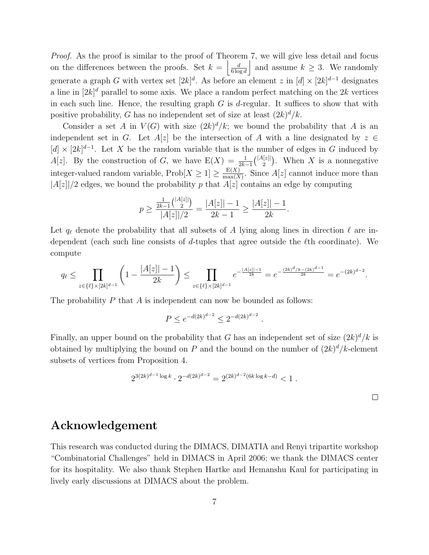Proof. As the proof is similar to the proof of Theorem 7, we will give less detail and focus on the differences between the proofs. Set  $k = \frac{d}{6 \log n}$  $\frac{d}{6 \log d}$  and assume  $k \geq 3$ . We randomly generate a graph G with vertex set  $[2k]^d$ . As before an element z in  $[d] \times [2k]^{d-1}$  designates a line in  $[2k]^d$  parallel to some axis. We place a random perfect matching on the  $2k$  vertices in each such line. Hence, the resulting graph  $G$  is d-regular. It suffices to show that with positive probability, G has no independent set of size at least  $(2k)^d/k$ .

Consider a set A in  $V(G)$  with size  $(2k)^d/k$ ; we bound the probability that A is an independent set in G. Let  $A[z]$  be the intersection of A with a line designated by  $z \in \mathbb{R}$  $[d] \times [2k]^{d-1}$ . Let X be the random variable that is the number of edges in G induced by  $A[z]$ . By the construction of G, we have  $E(X) = \frac{1}{2k-1} \binom{|A[z]|}{2}$  $\binom{[z]}{2}$ . When X is a nonnegative integer-valued random variable,  $\text{Prob}[X \geq 1] \geq \frac{\mathbb{E}(X)}{\max(X)}$  $\frac{E(X)}{\max(X)}$ . Since  $A[z]$  cannot induce more than  $|A[z]|/2$  edges, we bound the probability p that  $A[z]$  contains an edge by computing

$$
p \ge \frac{\frac{1}{2k-1} {|\mathcal{A}[z]| \choose 2}}{|\mathcal{A}[z]|/2} = \frac{|\mathcal{A}[z]| - 1}{2k - 1} \ge \frac{|\mathcal{A}[z]| - 1}{2k}.
$$

Let  $q_{\ell}$  denote the probability that all subsets of A lying along lines in direction  $\ell$  are independent (each such line consists of d-tuples that agree outside the ℓth coordinate). We compute

$$
q_\ell \leq \prod_{z \in \{\ell\} \times [2k]^{d-1}} \left(1 - \frac{|A[z]| - 1}{2k} \right) \leq \prod_{z \in \{\ell\} \times [2k]^{d-1}} e^{-\frac{|A[z]| - 1}{2k}} = e^{-\frac{(2k)^d / k - (2k)^{d-1}}{2k}} = e^{-(2k)^{d-2}}.
$$

The probability  $P$  that  $\overline{A}$  is independent can now be bounded as follows:

$$
P \le e^{-d(2k)^{d-2}} \le 2^{-d(2k)^{d-2}}
$$

Finally, an upper bound on the probability that G has an independent set of size  $(2k)^d/k$  is obtained by multiplying the bound on P and the bound on the number of  $(2k)^d/k$ -element subsets of vertices from Proposition 4.

$$
2^{3(2k)^{d-1}\log k} \cdot 2^{-d(2k)^{d-2}} = 2^{(2k)^{d-2}(6k\log k - d)} < 1.
$$

.

# Acknowledgement

This research was conducted during the DIMACS, DIMATIA and Renyi tripartite workshop "Combinatorial Challenges" held in DIMACS in April 2006; we thank the DIMACS center for its hospitality. We also thank Stephen Hartke and Hemanshu Kaul for participating in lively early discussions at DIMACS about the problem.